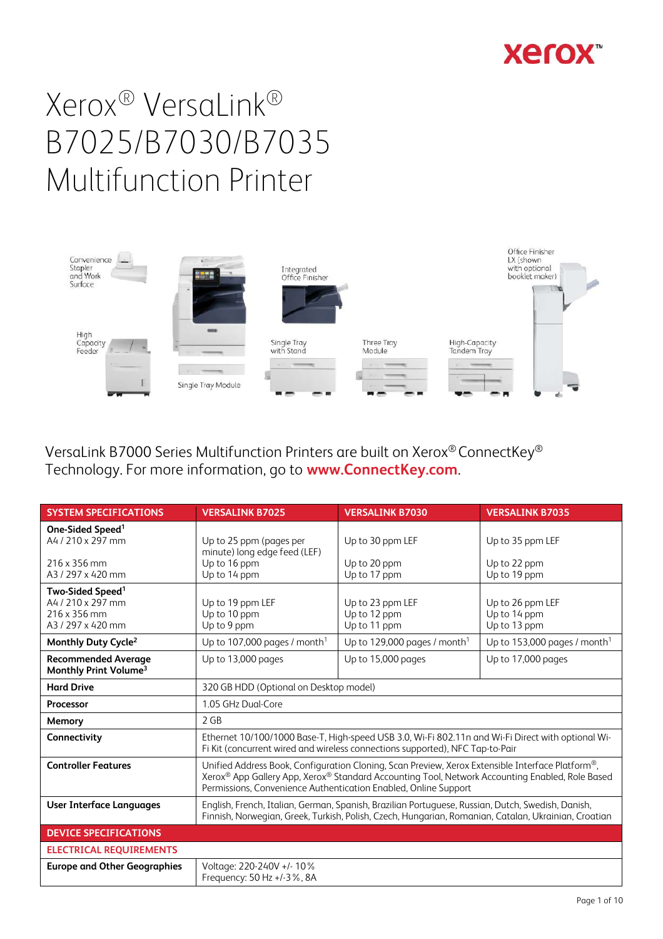



VersaLink B7000 Series Multifunction Printers are built on Xerox® ConnectKey® Technology. For more information, go to **www.ConnectKey.com**.

| <b>SYSTEM SPECIFICATIONS</b>                                                           | <b>VERSALINK B7025</b>                                                                                                                                                                                                                                                 | <b>VERSALINK B7030</b>                           | <b>VERSALINK B7035</b>                           |
|----------------------------------------------------------------------------------------|------------------------------------------------------------------------------------------------------------------------------------------------------------------------------------------------------------------------------------------------------------------------|--------------------------------------------------|--------------------------------------------------|
| One-Sided Speed <sup>1</sup><br>A4 / 210 x 297 mm                                      | Up to 25 ppm (pages per<br>minute) long edge feed (LEF)                                                                                                                                                                                                                | Up to 30 ppm LEF                                 | Up to 35 ppm LEF                                 |
| 216 x 356 mm<br>A3/297 x 420 mm                                                        | Up to 16 ppm<br>Up to 14 ppm                                                                                                                                                                                                                                           | Up to 20 ppm<br>Up to 17 ppm                     | Up to 22 ppm<br>Up to 19 ppm                     |
| Two-Sided Speed <sup>1</sup><br>A4 / 210 x 297 mm<br>216 x 356 mm<br>A3 / 297 x 420 mm | Up to 19 ppm LEF<br>Up to 10 ppm<br>Up to 9 ppm                                                                                                                                                                                                                        | Up to 23 ppm LEF<br>Up to 12 ppm<br>Up to 11 ppm | Up to 26 ppm LEF<br>Up to 14 ppm<br>Up to 13 ppm |
| Monthly Duty Cycle <sup>2</sup>                                                        | Up to 107,000 pages / month <sup>1</sup>                                                                                                                                                                                                                               | Up to 129,000 pages / month <sup>1</sup>         | Up to 153,000 pages / month <sup>1</sup>         |
| <b>Recommended Average</b><br>Monthly Print Volume <sup>3</sup>                        | Up to 13,000 pages                                                                                                                                                                                                                                                     | Up to 15,000 pages                               | Up to 17,000 pages                               |
| <b>Hard Drive</b>                                                                      | 320 GB HDD (Optional on Desktop model)                                                                                                                                                                                                                                 |                                                  |                                                  |
| Processor                                                                              | 1.05 GHz Dual-Core                                                                                                                                                                                                                                                     |                                                  |                                                  |
| Memory                                                                                 | 2 GB                                                                                                                                                                                                                                                                   |                                                  |                                                  |
| Connectivity                                                                           | Ethernet 10/100/1000 Base-T, High-speed USB 3.0, Wi-Fi 802.11n and Wi-Fi Direct with optional Wi-<br>Fi Kit (concurrent wired and wireless connections supported), NFC Tap-to-Pair                                                                                     |                                                  |                                                  |
| <b>Controller Features</b>                                                             | Unified Address Book, Configuration Cloning, Scan Preview, Xerox Extensible Interface Platform®,<br>Xerox® App Gallery App, Xerox® Standard Accounting Tool, Network Accounting Enabled, Role Based<br>Permissions, Convenience Authentication Enabled, Online Support |                                                  |                                                  |
| <b>User Interface Languages</b>                                                        | English, French, Italian, German, Spanish, Brazilian Portuguese, Russian, Dutch, Swedish, Danish,<br>Finnish, Norwegian, Greek, Turkish, Polish, Czech, Hungarian, Romanian, Catalan, Ukrainian, Croatian                                                              |                                                  |                                                  |
| <b>DEVICE SPECIFICATIONS</b>                                                           |                                                                                                                                                                                                                                                                        |                                                  |                                                  |
| <b>ELECTRICAL REQUIREMENTS</b>                                                         |                                                                                                                                                                                                                                                                        |                                                  |                                                  |
| <b>Europe and Other Geographies</b>                                                    | Voltage: 220-240V +/- 10%<br>Frequency: 50 Hz +/-3%, 8A                                                                                                                                                                                                                |                                                  |                                                  |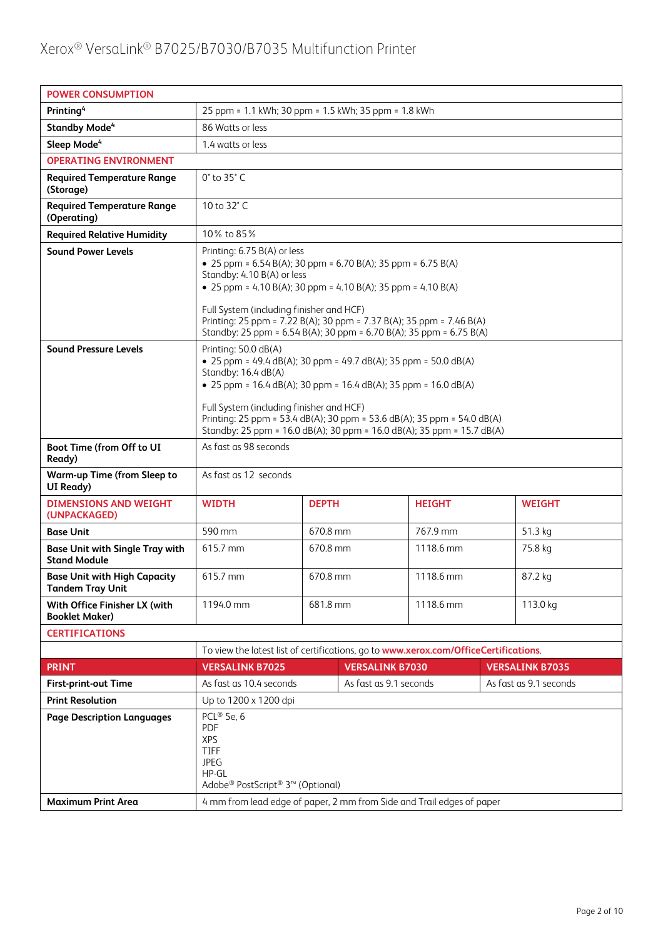| <b>POWER CONSUMPTION</b>                                      |                                                                                                                                                                                                                                                                                                                                                                                              |                                                      |  |               |               |
|---------------------------------------------------------------|----------------------------------------------------------------------------------------------------------------------------------------------------------------------------------------------------------------------------------------------------------------------------------------------------------------------------------------------------------------------------------------------|------------------------------------------------------|--|---------------|---------------|
| Printing <sup>4</sup>                                         |                                                                                                                                                                                                                                                                                                                                                                                              | 25 ppm = 1.1 kWh; 30 ppm = 1.5 kWh; 35 ppm = 1.8 kWh |  |               |               |
| <b>Standby Mode<sup>4</sup></b>                               | 86 Watts or less                                                                                                                                                                                                                                                                                                                                                                             |                                                      |  |               |               |
| Sleep Mode <sup>4</sup>                                       | 1.4 watts or less                                                                                                                                                                                                                                                                                                                                                                            |                                                      |  |               |               |
| <b>OPERATING ENVIRONMENT</b>                                  |                                                                                                                                                                                                                                                                                                                                                                                              |                                                      |  |               |               |
| <b>Required Temperature Range</b><br>(Storage)                | 0° to 35° C                                                                                                                                                                                                                                                                                                                                                                                  |                                                      |  |               |               |
| <b>Required Temperature Range</b><br>(Operating)              | 10 to 32°C                                                                                                                                                                                                                                                                                                                                                                                   |                                                      |  |               |               |
| <b>Required Relative Humidity</b>                             | 10% to 85%                                                                                                                                                                                                                                                                                                                                                                                   |                                                      |  |               |               |
| <b>Sound Power Levels</b>                                     | Printing: 6.75 B(A) or less<br>• 25 ppm = $6.54 B(A)$ ; 30 ppm = $6.70 B(A)$ ; 35 ppm = $6.75 B(A)$<br>Standby: 4.10 B(A) or less<br>• 25 ppm = 4.10 B(A); 30 ppm = 4.10 B(A); 35 ppm = 4.10 B(A)<br>Full System (including finisher and HCF)<br>Printing: 25 ppm = 7.22 B(A); 30 ppm = 7.37 B(A); 35 ppm = 7.46 B(A)<br>Standby: 25 ppm = 6.54 B(A); 30 ppm = 6.70 B(A); 35 ppm = 6.75 B(A) |                                                      |  |               |               |
| <b>Sound Pressure Levels</b>                                  | Printing: 50.0 dB(A)<br>• 25 ppm = 49.4 dB(A); 30 ppm = 49.7 dB(A); 35 ppm = 50.0 dB(A)<br>Standby: 16.4 dB(A)<br>• 25 ppm = $16.4$ dB(A); 30 ppm = $16.4$ dB(A); 35 ppm = $16.0$ dB(A)<br>Full System (including finisher and HCF)<br>Printing: 25 ppm = 53.4 dB(A); 30 ppm = 53.6 dB(A); 35 ppm = 54.0 dB(A)<br>Standby: 25 ppm = 16.0 dB(A); 30 ppm = 16.0 dB(A); 35 ppm = 15.7 dB(A)     |                                                      |  |               |               |
| Boot Time (from Off to UI<br>Ready)                           | As fast as 98 seconds                                                                                                                                                                                                                                                                                                                                                                        |                                                      |  |               |               |
| <b>Warm-up Time (from Sleep to</b><br>UI Ready)               | As fast as 12 seconds                                                                                                                                                                                                                                                                                                                                                                        |                                                      |  |               |               |
| <b>DIMENSIONS AND WEIGHT</b><br>(UNPACKAGED)                  | <b>WIDTH</b>                                                                                                                                                                                                                                                                                                                                                                                 | <b>DEPTH</b>                                         |  | <b>HEIGHT</b> | <b>WEIGHT</b> |
| <b>Base Unit</b>                                              | 590 mm                                                                                                                                                                                                                                                                                                                                                                                       | 670.8 mm                                             |  | 767.9 mm      | 51.3 kg       |
| <b>Base Unit with Single Tray with</b><br><b>Stand Module</b> | 615.7 mm                                                                                                                                                                                                                                                                                                                                                                                     | 670.8 mm                                             |  | 1118.6 mm     | 75.8 kg       |
| <b>Base Unit with High Capacity</b><br>Tandem Tray Unit       | 615.7 mm                                                                                                                                                                                                                                                                                                                                                                                     | 670.8 mm<br>1118.6 mm<br>87.2 kg                     |  |               |               |
| With Office Finisher LX (with<br><b>Booklet Maker)</b>        | 1194.0 mm                                                                                                                                                                                                                                                                                                                                                                                    | 681.8 mm                                             |  | 1118.6 mm     | 113.0 kg      |
| <b>CERTIFICATIONS</b>                                         |                                                                                                                                                                                                                                                                                                                                                                                              |                                                      |  |               |               |
|                                                               | To view the latest list of certifications, go to www.xerox.com/OfficeCertifications.                                                                                                                                                                                                                                                                                                         |                                                      |  |               |               |
| <b>PRINT</b>                                                  | <b>VERSALINK B7030</b><br><b>VERSALINK B7035</b><br><b>VERSALINK B7025</b>                                                                                                                                                                                                                                                                                                                   |                                                      |  |               |               |
| <b>First-print-out Time</b>                                   | As fast as 10.4 seconds<br>As fast as 9.1 seconds<br>As fast as 9.1 seconds                                                                                                                                                                                                                                                                                                                  |                                                      |  |               |               |
| <b>Print Resolution</b>                                       | Up to 1200 x 1200 dpi                                                                                                                                                                                                                                                                                                                                                                        |                                                      |  |               |               |
| <b>Page Description Languages</b>                             | PCL® 5e, 6<br><b>PDF</b><br><b>XPS</b><br><b>TIFF</b><br><b>JPEG</b><br>$HP-GL$<br>Adobe <sup>®</sup> PostScript <sup>®</sup> 3 <sup>™</sup> (Optional)                                                                                                                                                                                                                                      |                                                      |  |               |               |
| <b>Maximum Print Area</b>                                     | 4 mm from lead edge of paper, 2 mm from Side and Trail edges of paper                                                                                                                                                                                                                                                                                                                        |                                                      |  |               |               |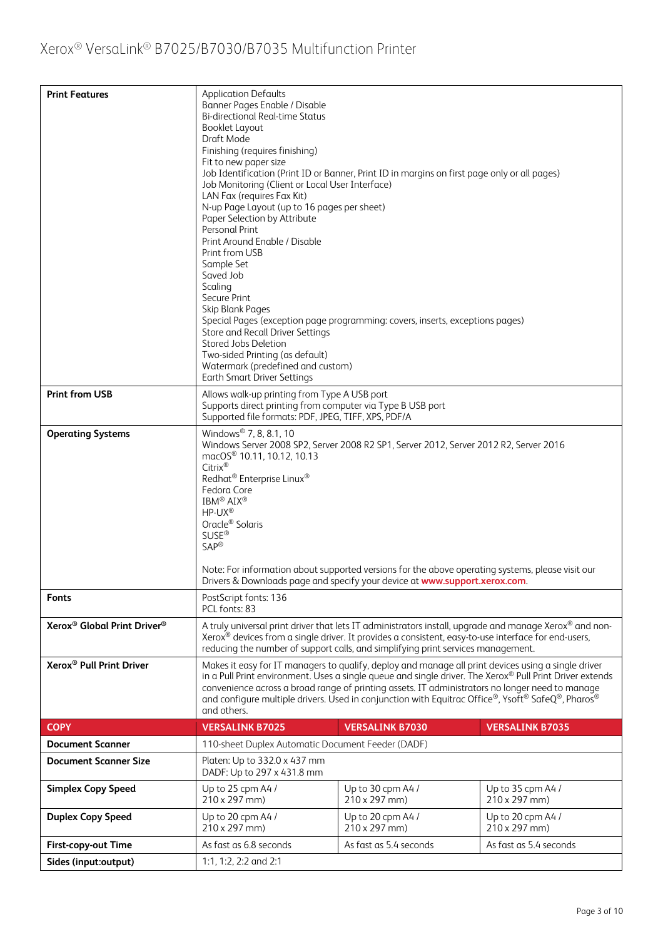| <b>Print Features</b>                               | <b>Application Defaults</b><br>Banner Pages Enable / Disable<br><b>Bi-directional Real-time Status</b><br><b>Booklet Layout</b><br>Draft Mode<br>Finishing (requires finishing)<br>Fit to new paper size<br>Job Identification (Print ID or Banner, Print ID in margins on first page only or all pages)<br>Job Monitoring (Client or Local User Interface)<br>LAN Fax (requires Fax Kit)<br>N-up Page Layout (up to 16 pages per sheet)<br>Paper Selection by Attribute<br>Personal Print<br>Print Around Enable / Disable<br>Print from USB<br>Sample Set<br>Saved Job<br>Scaling<br>Secure Print<br>Skip Blank Pages<br>Special Pages (exception page programming: covers, inserts, exceptions pages)<br>Store and Recall Driver Settings<br>Stored Jobs Deletion<br>Two-sided Printing (as default)<br>Watermark (predefined and custom)<br><b>Earth Smart Driver Settings</b> |                                           |                                           |
|-----------------------------------------------------|------------------------------------------------------------------------------------------------------------------------------------------------------------------------------------------------------------------------------------------------------------------------------------------------------------------------------------------------------------------------------------------------------------------------------------------------------------------------------------------------------------------------------------------------------------------------------------------------------------------------------------------------------------------------------------------------------------------------------------------------------------------------------------------------------------------------------------------------------------------------------------|-------------------------------------------|-------------------------------------------|
| <b>Print from USB</b>                               | Allows walk-up printing from Type A USB port<br>Supports direct printing from computer via Type B USB port<br>Supported file formats: PDF, JPEG, TIFF, XPS, PDF/A                                                                                                                                                                                                                                                                                                                                                                                                                                                                                                                                                                                                                                                                                                                  |                                           |                                           |
| <b>Operating Systems</b>                            | Windows <sup>®</sup> 7, 8, 8.1, 10<br>Windows Server 2008 SP2, Server 2008 R2 SP1, Server 2012, Server 2012 R2, Server 2016<br>macOS <sup>®</sup> 10.11, 10.12, 10.13<br>Citrix®<br>Redhat <sup>®</sup> Enterprise Linux <sup>®</sup><br>Fedora Core<br>IBM <sup>®</sup> AIX <sup>®</sup><br>$HP-UX^{\circledR}$<br>Oracle <sup>®</sup> Solaris<br><b>SUSE®</b><br><b>SAP®</b><br>Note: For information about supported versions for the above operating systems, please visit our                                                                                                                                                                                                                                                                                                                                                                                                 |                                           |                                           |
| <b>Fonts</b>                                        | Drivers & Downloads page and specify your device at www.support.xerox.com.<br>PostScript fonts: 136<br>PCL fonts: 83                                                                                                                                                                                                                                                                                                                                                                                                                                                                                                                                                                                                                                                                                                                                                               |                                           |                                           |
| Xerox <sup>®</sup> Global Print Driver <sup>®</sup> | A truly universal print driver that lets IT administrators install, upgrade and manage Xerox® and non-<br>Xerox® devices from a single driver. It provides a consistent, easy-to-use interface for end-users,<br>reducing the number of support calls, and simplifying print services management.                                                                                                                                                                                                                                                                                                                                                                                                                                                                                                                                                                                  |                                           |                                           |
| Xerox <sup>®</sup> Pull Print Driver                | Makes it easy for IT managers to qualify, deploy and manage all print devices using a single driver<br>in a Pull Print environment. Uses a single queue and single driver. The Xerox® Pull Print Driver extends<br>convenience across a broad range of printing assets. IT administrators no longer need to manage<br>and configure multiple drivers. Used in conjunction with Equitrac Office®, Ysoft® SafeQ®, Pharos®<br>and others.                                                                                                                                                                                                                                                                                                                                                                                                                                             |                                           |                                           |
| <b>COPY</b>                                         | <b>VERSALINK B7025</b>                                                                                                                                                                                                                                                                                                                                                                                                                                                                                                                                                                                                                                                                                                                                                                                                                                                             | <b>VERSALINK B7030</b>                    | <b>VERSALINK B7035</b>                    |
| <b>Document Scanner</b>                             | 110-sheet Duplex Automatic Document Feeder (DADF)                                                                                                                                                                                                                                                                                                                                                                                                                                                                                                                                                                                                                                                                                                                                                                                                                                  |                                           |                                           |
| <b>Document Scanner Size</b>                        | Platen: Up to 332.0 x 437 mm<br>DADF: Up to 297 x 431.8 mm                                                                                                                                                                                                                                                                                                                                                                                                                                                                                                                                                                                                                                                                                                                                                                                                                         |                                           |                                           |
| <b>Simplex Copy Speed</b>                           | Up to 25 cpm A4 /<br>210 x 297 mm)                                                                                                                                                                                                                                                                                                                                                                                                                                                                                                                                                                                                                                                                                                                                                                                                                                                 | Up to 30 cpm A4 /<br>$210 \times 297$ mm) | Up to 35 cpm A4 /<br>$210 \times 297$ mm) |
| <b>Duplex Copy Speed</b>                            | Up to 20 cpm A4 /<br>210 x 297 mm)                                                                                                                                                                                                                                                                                                                                                                                                                                                                                                                                                                                                                                                                                                                                                                                                                                                 | Up to 20 cpm A4 /<br>$210 \times 297$ mm) | Up to 20 cpm A4 /<br>$210 \times 297$ mm) |
| First-copy-out Time                                 | As fast as 6.8 seconds<br>As fast as 5.4 seconds<br>As fast as 5.4 seconds                                                                                                                                                                                                                                                                                                                                                                                                                                                                                                                                                                                                                                                                                                                                                                                                         |                                           |                                           |
| Sides (input:output)                                | 1:1, 1:2, 2:2 and 2:1                                                                                                                                                                                                                                                                                                                                                                                                                                                                                                                                                                                                                                                                                                                                                                                                                                                              |                                           |                                           |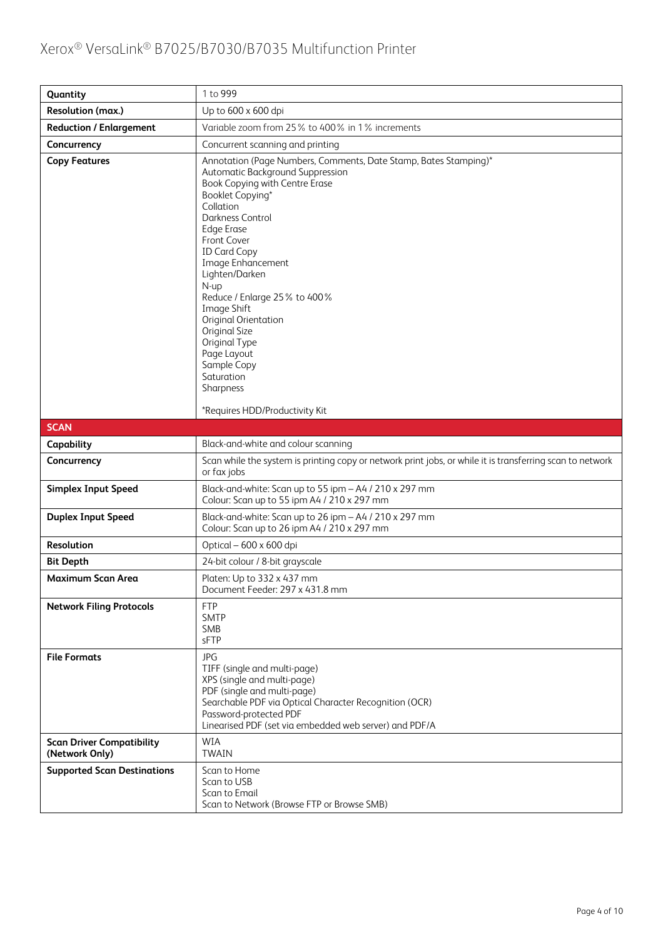| Quantity                                           | 1 to 999                                                                                                                                                                                                                                                                                                                                                                                                                                                                                                  |
|----------------------------------------------------|-----------------------------------------------------------------------------------------------------------------------------------------------------------------------------------------------------------------------------------------------------------------------------------------------------------------------------------------------------------------------------------------------------------------------------------------------------------------------------------------------------------|
| Resolution (max.)                                  | Up to 600 x 600 dpi                                                                                                                                                                                                                                                                                                                                                                                                                                                                                       |
| <b>Reduction / Enlargement</b>                     | Variable zoom from 25% to 400% in 1% increments                                                                                                                                                                                                                                                                                                                                                                                                                                                           |
| Concurrency                                        | Concurrent scanning and printing                                                                                                                                                                                                                                                                                                                                                                                                                                                                          |
| <b>Copy Features</b>                               | Annotation (Page Numbers, Comments, Date Stamp, Bates Stamping)*<br>Automatic Background Suppression<br>Book Copying with Centre Erase<br>Booklet Copying*<br>Collation<br>Darkness Control<br><b>Edge Erase</b><br>Front Cover<br><b>ID Card Copy</b><br>Image Enhancement<br>Lighten/Darken<br>N-up<br>Reduce / Enlarge 25% to 400%<br>Image Shift<br>Original Orientation<br>Original Size<br>Original Type<br>Page Layout<br>Sample Copy<br>Saturation<br>Sharpness<br>*Requires HDD/Productivity Kit |
| <b>SCAN</b>                                        |                                                                                                                                                                                                                                                                                                                                                                                                                                                                                                           |
| Capability                                         | Black-and-white and colour scanning                                                                                                                                                                                                                                                                                                                                                                                                                                                                       |
| Concurrency                                        | Scan while the system is printing copy or network print jobs, or while it is transferring scan to network<br>or fax jobs                                                                                                                                                                                                                                                                                                                                                                                  |
| <b>Simplex Input Speed</b>                         | Black-and-white: Scan up to 55 ipm - A4 / 210 x 297 mm<br>Colour: Scan up to 55 ipm A4 / 210 x 297 mm                                                                                                                                                                                                                                                                                                                                                                                                     |
| <b>Duplex Input Speed</b>                          | Black-and-white: Scan up to 26 ipm - A4 / 210 x 297 mm<br>Colour: Scan up to 26 ipm A4 / 210 x 297 mm                                                                                                                                                                                                                                                                                                                                                                                                     |
| Resolution                                         | Optical - 600 x 600 dpi                                                                                                                                                                                                                                                                                                                                                                                                                                                                                   |
| <b>Bit Depth</b>                                   | 24-bit colour / 8-bit grayscale                                                                                                                                                                                                                                                                                                                                                                                                                                                                           |
| <b>Maximum Scan Area</b>                           | Platen: Up to 332 x 437 mm<br>Document Feeder: 297 x 431.8 mm                                                                                                                                                                                                                                                                                                                                                                                                                                             |
| <b>Network Filing Protocols</b>                    | <b>FTP</b><br><b>SMTP</b><br>SMB<br>sFTP                                                                                                                                                                                                                                                                                                                                                                                                                                                                  |
| <b>File Formats</b>                                | <b>JPG</b><br>TIFF (single and multi-page)<br>XPS (single and multi-page)<br>PDF (single and multi-page)<br>Searchable PDF via Optical Character Recognition (OCR)<br>Password-protected PDF<br>Linearised PDF (set via embedded web server) and PDF/A                                                                                                                                                                                                                                                    |
| <b>Scan Driver Compatibility</b><br>(Network Only) | WIA<br><b>TWAIN</b>                                                                                                                                                                                                                                                                                                                                                                                                                                                                                       |
| <b>Supported Scan Destinations</b>                 | Scan to Home<br>Scan to USB<br>Scan to Email<br>Scan to Network (Browse FTP or Browse SMB)                                                                                                                                                                                                                                                                                                                                                                                                                |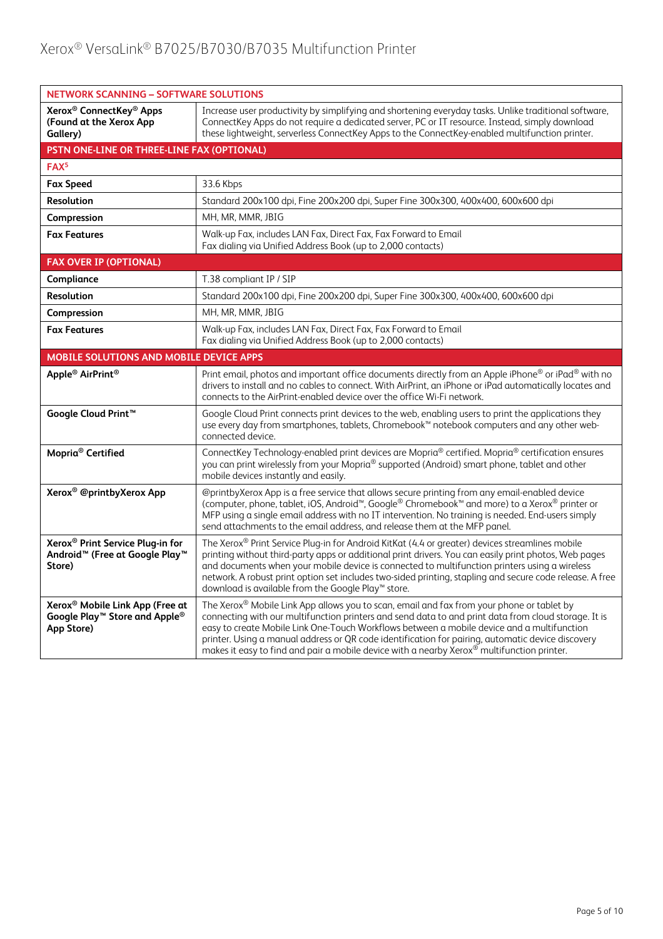| <b>NETWORK SCANNING - SOFTWARE SOLUTIONS</b>                                                                     |                                                                                                                                                                                                                                                                                                                                                                                                                                                                                                                |  |  |  |
|------------------------------------------------------------------------------------------------------------------|----------------------------------------------------------------------------------------------------------------------------------------------------------------------------------------------------------------------------------------------------------------------------------------------------------------------------------------------------------------------------------------------------------------------------------------------------------------------------------------------------------------|--|--|--|
| Xerox <sup>®</sup> ConnectKey <sup>®</sup> Apps<br>(Found at the Xerox App<br>Gallery)                           | Increase user productivity by simplifying and shortening everyday tasks. Unlike traditional software,<br>ConnectKey Apps do not require a dedicated server, PC or IT resource. Instead, simply download<br>these lightweight, serverless ConnectKey Apps to the ConnectKey-enabled multifunction printer.                                                                                                                                                                                                      |  |  |  |
| PSTN ONE-LINE OR THREE-LINE FAX (OPTIONAL)                                                                       |                                                                                                                                                                                                                                                                                                                                                                                                                                                                                                                |  |  |  |
| FAX <sup>5</sup>                                                                                                 |                                                                                                                                                                                                                                                                                                                                                                                                                                                                                                                |  |  |  |
| <b>Fax Speed</b>                                                                                                 | 33.6 Kbps                                                                                                                                                                                                                                                                                                                                                                                                                                                                                                      |  |  |  |
| Resolution                                                                                                       | Standard 200x100 dpi, Fine 200x200 dpi, Super Fine 300x300, 400x400, 600x600 dpi                                                                                                                                                                                                                                                                                                                                                                                                                               |  |  |  |
| Compression                                                                                                      | MH, MR, MMR, JBIG                                                                                                                                                                                                                                                                                                                                                                                                                                                                                              |  |  |  |
| <b>Fax Features</b>                                                                                              | Walk-up Fax, includes LAN Fax, Direct Fax, Fax Forward to Email<br>Fax dialing via Unified Address Book (up to 2,000 contacts)                                                                                                                                                                                                                                                                                                                                                                                 |  |  |  |
| <b>FAX OVER IP (OPTIONAL)</b>                                                                                    |                                                                                                                                                                                                                                                                                                                                                                                                                                                                                                                |  |  |  |
| Compliance                                                                                                       | T.38 compliant IP / SIP                                                                                                                                                                                                                                                                                                                                                                                                                                                                                        |  |  |  |
| <b>Resolution</b>                                                                                                | Standard 200x100 dpi, Fine 200x200 dpi, Super Fine 300x300, 400x400, 600x600 dpi                                                                                                                                                                                                                                                                                                                                                                                                                               |  |  |  |
| Compression                                                                                                      | MH, MR, MMR, JBIG                                                                                                                                                                                                                                                                                                                                                                                                                                                                                              |  |  |  |
| <b>Fax Features</b>                                                                                              | Walk-up Fax, includes LAN Fax, Direct Fax, Fax Forward to Email<br>Fax dialing via Unified Address Book (up to 2,000 contacts)                                                                                                                                                                                                                                                                                                                                                                                 |  |  |  |
| MOBILE SOLUTIONS AND MOBILE DEVICE APPS                                                                          |                                                                                                                                                                                                                                                                                                                                                                                                                                                                                                                |  |  |  |
| Apple <sup>®</sup> AirPrint <sup>®</sup>                                                                         | Print email, photos and important office documents directly from an Apple iPhone® or iPad® with no<br>drivers to install and no cables to connect. With AirPrint, an iPhone or iPad automatically locates and<br>connects to the AirPrint-enabled device over the office Wi-Fi network.                                                                                                                                                                                                                        |  |  |  |
| Google Cloud Print <sup>™</sup>                                                                                  | Google Cloud Print connects print devices to the web, enabling users to print the applications they<br>use every day from smartphones, tablets, Chromebook™ notebook computers and any other web-<br>connected device.                                                                                                                                                                                                                                                                                         |  |  |  |
| Mopria <sup>®</sup> Certified                                                                                    | ConnectKey Technology-enabled print devices are Mopria® certified. Mopria® certification ensures<br>you can print wirelessly from your Mopria® supported (Android) smart phone, tablet and other<br>mobile devices instantly and easily.                                                                                                                                                                                                                                                                       |  |  |  |
| Xerox <sup>®</sup> @printbyXerox App                                                                             | @printbyXerox App is a free service that allows secure printing from any email-enabled device<br>(computer, phone, tablet, iOS, Android <sup>™</sup> , Google® Chromebook™ and more) to a Xerox® printer or<br>MFP using a single email address with no IT intervention. No training is needed. End-users simply<br>send attachments to the email address, and release them at the MFP panel.                                                                                                                  |  |  |  |
| Xerox <sup>®</sup> Print Service Plug-in for<br>Android <sup>™</sup> (Free at Google Play <sup>™</sup><br>Store) | The Xerox® Print Service Plug-in for Android KitKat (4.4 or greater) devices streamlines mobile<br>printing without third-party apps or additional print drivers. You can easily print photos, Web pages<br>and documents when your mobile device is connected to multifunction printers using a wireless<br>network. A robust print option set includes two-sided printing, stapling and secure code release. A free<br>download is available from the Google Play™ store.                                    |  |  |  |
| Xerox <sup>®</sup> Mobile Link App (Free at<br>Google Play™ Store and Apple®<br>App Store)                       | The Xerox® Mobile Link App allows you to scan, email and fax from your phone or tablet by<br>connecting with our multifunction printers and send data to and print data from cloud storage. It is<br>easy to create Mobile Link One-Touch Workflows between a mobile device and a multifunction<br>printer. Using a manual address or QR code identification for pairing, automatic device discovery<br>makes it easy to find and pair a mobile device with a nearby Xerox <sup>®</sup> multifunction printer. |  |  |  |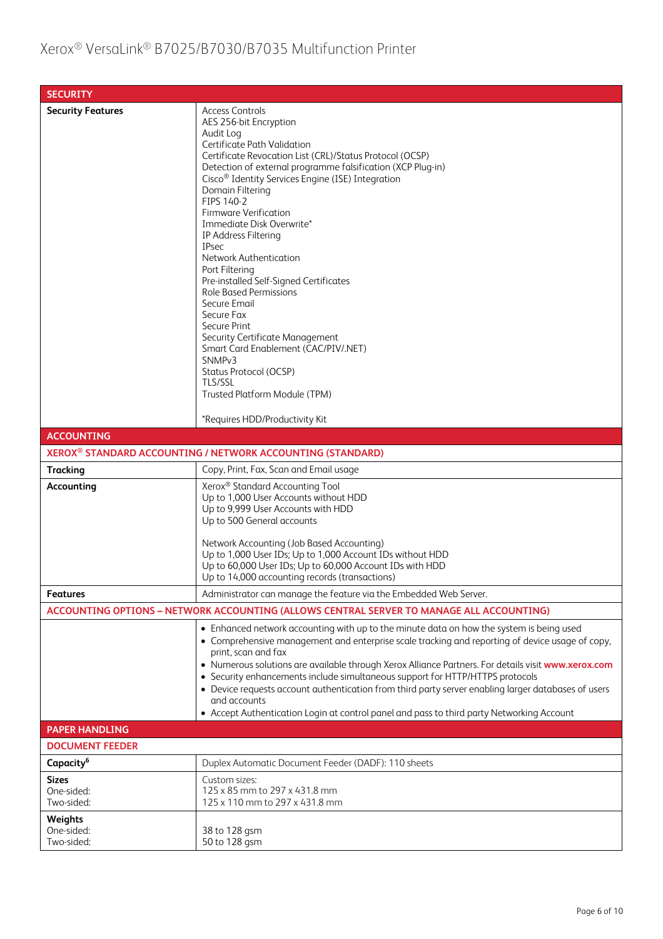| <b>SECURITY</b>                          |                                                                                                                                                                                                                                                                                                                                                                                                                                                                                                                                                                                                                                                                                                                                                                                                                      |
|------------------------------------------|----------------------------------------------------------------------------------------------------------------------------------------------------------------------------------------------------------------------------------------------------------------------------------------------------------------------------------------------------------------------------------------------------------------------------------------------------------------------------------------------------------------------------------------------------------------------------------------------------------------------------------------------------------------------------------------------------------------------------------------------------------------------------------------------------------------------|
| <b>Security Features</b>                 | <b>Access Controls</b><br>AES 256-bit Encryption<br>Audit Log<br>Certificate Path Validation<br>Certificate Revocation List (CRL)/Status Protocol (OCSP)<br>Detection of external programme falsification (XCP Plug-in)<br>Cisco <sup>®</sup> Identity Services Engine (ISE) Integration<br>Domain Filtering<br>FIPS 140-2<br><b>Firmware Verification</b><br>Immediate Disk Overwrite*<br>IP Address Filtering<br><b>IPsec</b><br><b>Network Authentication</b><br>Port Filtering<br>Pre-installed Self-Signed Certificates<br><b>Role Based Permissions</b><br>Secure Email<br>Secure Fax<br>Secure Print<br>Security Certificate Management<br>Smart Card Enablement (CAC/PIV/.NET)<br>SNMP <sub>v3</sub><br>Status Protocol (OCSP)<br>TLS/SSL<br>Trusted Platform Module (TPM)<br>*Requires HDD/Productivity Kit |
| <b>ACCOUNTING</b>                        |                                                                                                                                                                                                                                                                                                                                                                                                                                                                                                                                                                                                                                                                                                                                                                                                                      |
|                                          | XEROX® STANDARD ACCOUNTING / NETWORK ACCOUNTING (STANDARD)                                                                                                                                                                                                                                                                                                                                                                                                                                                                                                                                                                                                                                                                                                                                                           |
| <b>Tracking</b>                          | Copy, Print, Fax, Scan and Email usage                                                                                                                                                                                                                                                                                                                                                                                                                                                                                                                                                                                                                                                                                                                                                                               |
| Accounting                               | Xerox <sup>®</sup> Standard Accounting Tool<br>Up to 1,000 User Accounts without HDD<br>Up to 9,999 User Accounts with HDD<br>Up to 500 General accounts<br>Network Accounting (Job Based Accounting)<br>Up to 1,000 User IDs; Up to 1,000 Account IDs without HDD<br>Up to 60,000 User IDs; Up to 60,000 Account IDs with HDD<br>Up to 14,000 accounting records (transactions)                                                                                                                                                                                                                                                                                                                                                                                                                                     |
| <b>Features</b>                          | Administrator can manage the feature via the Embedded Web Server.                                                                                                                                                                                                                                                                                                                                                                                                                                                                                                                                                                                                                                                                                                                                                    |
|                                          | ACCOUNTING OPTIONS - NETWORK ACCOUNTING (ALLOWS CENTRAL SERVER TO MANAGE ALL ACCOUNTING)                                                                                                                                                                                                                                                                                                                                                                                                                                                                                                                                                                                                                                                                                                                             |
|                                          | • Enhanced network accounting with up to the minute data on how the system is being used<br>• Comprehensive management and enterprise scale tracking and reporting of device usage of copy,<br>print, scan and fax<br>. Numerous solutions are available through Xerox Alliance Partners. For details visit www.xerox.com<br>• Security enhancements include simultaneous support for HTTP/HTTPS protocols<br>• Device requests account authentication from third party server enabling larger databases of users<br>and accounts<br>• Accept Authentication Login at control panel and pass to third party Networking Account                                                                                                                                                                                       |
| <b>PAPER HANDLING</b>                    |                                                                                                                                                                                                                                                                                                                                                                                                                                                                                                                                                                                                                                                                                                                                                                                                                      |
| <b>DOCUMENT FEEDER</b>                   |                                                                                                                                                                                                                                                                                                                                                                                                                                                                                                                                                                                                                                                                                                                                                                                                                      |
| Capacity <sup>6</sup>                    | Duplex Automatic Document Feeder (DADF): 110 sheets                                                                                                                                                                                                                                                                                                                                                                                                                                                                                                                                                                                                                                                                                                                                                                  |
| <b>Sizes</b><br>One-sided:<br>Two-sided: | Custom sizes:<br>125 x 85 mm to 297 x 431.8 mm<br>125 x 110 mm to 297 x 431.8 mm                                                                                                                                                                                                                                                                                                                                                                                                                                                                                                                                                                                                                                                                                                                                     |
| Weights<br>One-sided:<br>Two-sided:      | 38 to 128 gsm<br>50 to 128 gsm                                                                                                                                                                                                                                                                                                                                                                                                                                                                                                                                                                                                                                                                                                                                                                                       |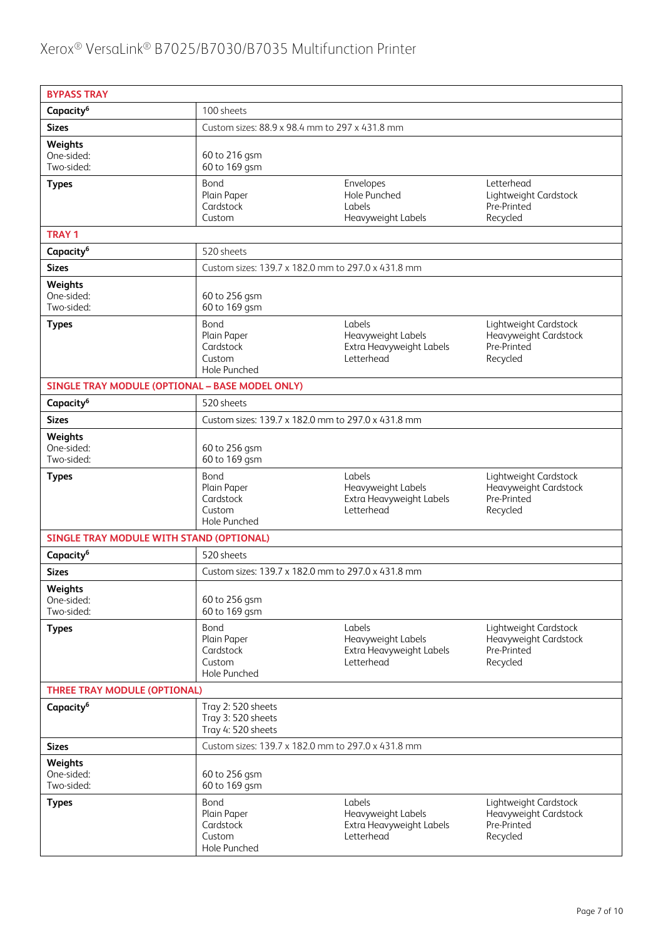| <b>BYPASS TRAY</b>                         |                                                               |                                                                        |                                                                           |  |
|--------------------------------------------|---------------------------------------------------------------|------------------------------------------------------------------------|---------------------------------------------------------------------------|--|
| Capacity <sup>6</sup>                      | 100 sheets                                                    |                                                                        |                                                                           |  |
| <b>Sizes</b>                               | Custom sizes: 88.9 x 98.4 mm to 297 x 431.8 mm                |                                                                        |                                                                           |  |
| <b>Weights</b><br>One-sided:<br>Two-sided: | 60 to 216 gsm<br>60 to 169 gsm                                |                                                                        |                                                                           |  |
| <b>Types</b>                               | Bond<br>Plain Paper<br>Cardstock<br>Custom                    | Envelopes<br>Hole Punched<br>Labels<br>Heavyweight Labels              | Letterhead<br>Lightweight Cardstock<br>Pre-Printed<br>Recycled            |  |
| <b>TRAY 1</b>                              |                                                               |                                                                        |                                                                           |  |
| Capacity <sup>6</sup>                      | 520 sheets                                                    |                                                                        |                                                                           |  |
| <b>Sizes</b>                               | Custom sizes: 139.7 x 182.0 mm to 297.0 x 431.8 mm            |                                                                        |                                                                           |  |
| Weights<br>One-sided:<br>Two-sided:        | 60 to 256 gsm<br>60 to 169 gsm                                |                                                                        |                                                                           |  |
| <b>Types</b>                               | Bond<br>Plain Paper<br>Cardstock<br>Custom<br>Hole Punched    | Labels<br>Heavyweight Labels<br>Extra Heavyweight Labels<br>Letterhead | Lightweight Cardstock<br>Heavyweight Cardstock<br>Pre-Printed<br>Recycled |  |
|                                            | SINGLE TRAY MODULE (OPTIONAL - BASE MODEL ONLY)               |                                                                        |                                                                           |  |
| Capacity <sup>6</sup>                      | 520 sheets                                                    |                                                                        |                                                                           |  |
| <b>Sizes</b>                               | Custom sizes: 139.7 x 182.0 mm to 297.0 x 431.8 mm            |                                                                        |                                                                           |  |
| Weights<br>One-sided:<br>Two-sided:        | 60 to 256 gsm<br>60 to 169 gsm                                |                                                                        |                                                                           |  |
| <b>Types</b>                               | Bond<br>Plain Paper<br>Cardstock<br>Custom<br>Hole Punched    | Labels<br>Heavyweight Labels<br>Extra Heavyweight Labels<br>Letterhead | Lightweight Cardstock<br>Heavyweight Cardstock<br>Pre-Printed<br>Recycled |  |
| SINGLE TRAY MODULE WITH STAND (OPTIONAL)   |                                                               |                                                                        |                                                                           |  |
| Capacity <sup>6</sup>                      | 520 sheets                                                    |                                                                        |                                                                           |  |
| <b>Sizes</b>                               | Custom sizes: 139.7 x 182.0 mm to 297.0 x 431.8 mm            |                                                                        |                                                                           |  |
| Weights<br>One-sided:<br>Two-sided:        | 60 to 256 gsm<br>60 to 169 gsm                                |                                                                        |                                                                           |  |
| <b>Types</b>                               | Bond<br>Plain Paper<br>Cardstock<br>Custom<br>Hole Punched    | Labels<br>Heavyweight Labels<br>Extra Heavyweight Labels<br>Letterhead | Lightweight Cardstock<br>Heavyweight Cardstock<br>Pre-Printed<br>Recycled |  |
| <b>THREE TRAY MODULE (OPTIONAL)</b>        |                                                               |                                                                        |                                                                           |  |
| Capacity <sup>6</sup>                      | Tray 2: 520 sheets<br>Tray 3:520 sheets<br>Tray 4: 520 sheets |                                                                        |                                                                           |  |
| <b>Sizes</b>                               | Custom sizes: 139.7 x 182.0 mm to 297.0 x 431.8 mm            |                                                                        |                                                                           |  |
| Weights<br>One-sided:<br>Two-sided:        | 60 to 256 gsm<br>60 to 169 gsm                                |                                                                        |                                                                           |  |
| <b>Types</b>                               | Bond<br>Plain Paper<br>Cardstock<br>Custom<br>Hole Punched    | Labels<br>Heavyweight Labels<br>Extra Heavyweight Labels<br>Letterhead | Lightweight Cardstock<br>Heavyweight Cardstock<br>Pre-Printed<br>Recycled |  |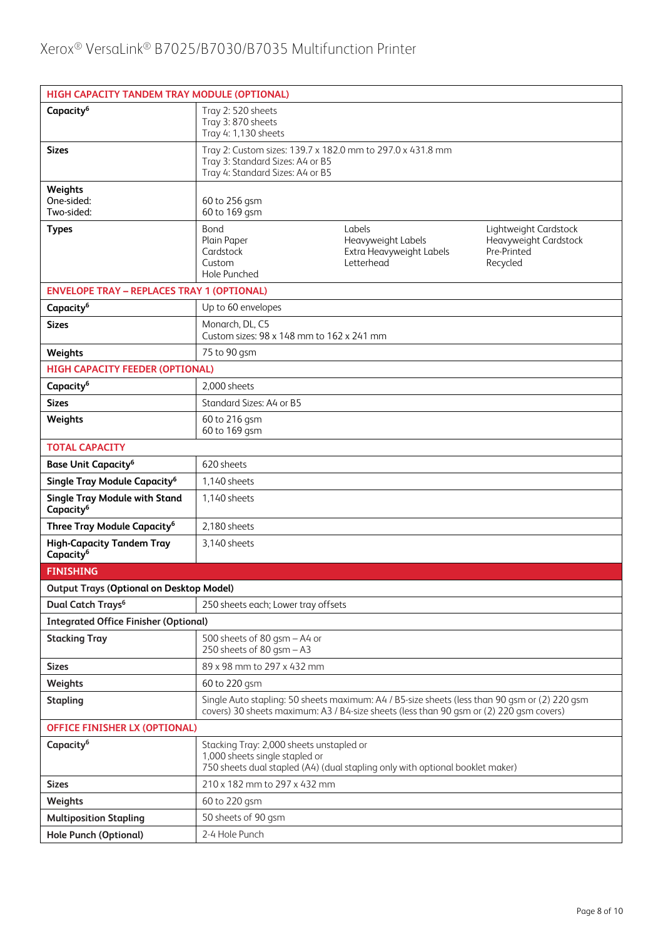| HIGH CAPACITY TANDEM TRAY MODULE (OPTIONAL)                   |                                                                                                                                                                                          |                                                                        |                                                                           |  |
|---------------------------------------------------------------|------------------------------------------------------------------------------------------------------------------------------------------------------------------------------------------|------------------------------------------------------------------------|---------------------------------------------------------------------------|--|
| Capacity <sup>6</sup>                                         | Tray 2:520 sheets<br>Tray 3: 870 sheets<br>Tray 4: 1,130 sheets                                                                                                                          |                                                                        |                                                                           |  |
| <b>Sizes</b>                                                  | Tray 2: Custom sizes: 139.7 x 182.0 mm to 297.0 x 431.8 mm<br>Tray 3: Standard Sizes: A4 or B5<br>Tray 4: Standard Sizes: A4 or B5                                                       |                                                                        |                                                                           |  |
| Weights<br>One-sided:<br>Two-sided:                           | 60 to 256 gsm<br>60 to 169 gsm                                                                                                                                                           |                                                                        |                                                                           |  |
| <b>Types</b>                                                  | Bond<br>Plain Paper<br>Cardstock<br>Custom<br>Hole Punched                                                                                                                               | Labels<br>Heavyweight Labels<br>Extra Heavyweight Labels<br>Letterhead | Lightweight Cardstock<br>Heavyweight Cardstock<br>Pre-Printed<br>Recycled |  |
| <b>ENVELOPE TRAY - REPLACES TRAY 1 (OPTIONAL)</b>             |                                                                                                                                                                                          |                                                                        |                                                                           |  |
| Capacity <sup>6</sup>                                         | Up to 60 envelopes                                                                                                                                                                       |                                                                        |                                                                           |  |
| <b>Sizes</b>                                                  | Monarch, DL, C5<br>Custom sizes: 98 x 148 mm to 162 x 241 mm                                                                                                                             |                                                                        |                                                                           |  |
| Weights                                                       | 75 to 90 gsm                                                                                                                                                                             |                                                                        |                                                                           |  |
| <b>HIGH CAPACITY FEEDER (OPTIONAL)</b>                        |                                                                                                                                                                                          |                                                                        |                                                                           |  |
| Capacity <sup>6</sup>                                         | 2.000 sheets                                                                                                                                                                             |                                                                        |                                                                           |  |
| <b>Sizes</b>                                                  | Standard Sizes: A4 or B5                                                                                                                                                                 |                                                                        |                                                                           |  |
| Weights                                                       | 60 to 216 gsm<br>60 to 169 gsm                                                                                                                                                           |                                                                        |                                                                           |  |
| <b>TOTAL CAPACITY</b>                                         |                                                                                                                                                                                          |                                                                        |                                                                           |  |
| <b>Base Unit Capacity<sup>6</sup></b>                         | 620 sheets                                                                                                                                                                               |                                                                        |                                                                           |  |
| Single Tray Module Capacity <sup>6</sup>                      | 1,140 sheets                                                                                                                                                                             |                                                                        |                                                                           |  |
| <b>Single Tray Module with Stand</b><br>Capacity <sup>6</sup> | 1,140 sheets                                                                                                                                                                             |                                                                        |                                                                           |  |
| Three Tray Module Capacity <sup>6</sup>                       | 2,180 sheets                                                                                                                                                                             |                                                                        |                                                                           |  |
| <b>High-Capacity Tandem Tray</b><br>Capacity <sup>6</sup>     | 3,140 sheets                                                                                                                                                                             |                                                                        |                                                                           |  |
| <b>FINISHING</b>                                              |                                                                                                                                                                                          |                                                                        |                                                                           |  |
| <b>Output Trays (Optional on Desktop Model)</b>               |                                                                                                                                                                                          |                                                                        |                                                                           |  |
| Dual Catch Trays <sup>6</sup>                                 | 250 sheets each; Lower tray offsets                                                                                                                                                      |                                                                        |                                                                           |  |
| <b>Integrated Office Finisher (Optional)</b>                  |                                                                                                                                                                                          |                                                                        |                                                                           |  |
| <b>Stacking Tray</b>                                          | 500 sheets of 80 qsm - A4 or<br>250 sheets of 80 gsm $-$ A3                                                                                                                              |                                                                        |                                                                           |  |
| <b>Sizes</b>                                                  | 89 x 98 mm to 297 x 432 mm                                                                                                                                                               |                                                                        |                                                                           |  |
| Weights                                                       | 60 to 220 gsm                                                                                                                                                                            |                                                                        |                                                                           |  |
| <b>Stapling</b>                                               | Single Auto stapling: 50 sheets maximum: A4 / B5-size sheets (less than 90 gsm or (2) 220 gsm<br>covers) 30 sheets maximum: A3 / B4-size sheets (less than 90 qsm or (2) 220 qsm covers) |                                                                        |                                                                           |  |
|                                                               | <b>OFFICE FINISHER LX (OPTIONAL)</b>                                                                                                                                                     |                                                                        |                                                                           |  |
| Capacity <sup>6</sup>                                         | Stacking Tray: 2,000 sheets unstapled or<br>1,000 sheets single stapled or<br>750 sheets dual stapled (A4) (dual stapling only with optional booklet maker)                              |                                                                        |                                                                           |  |
| <b>Sizes</b>                                                  | 210 x 182 mm to 297 x 432 mm                                                                                                                                                             |                                                                        |                                                                           |  |
| Weights                                                       | 60 to 220 gsm                                                                                                                                                                            |                                                                        |                                                                           |  |
| <b>Multiposition Stapling</b>                                 | 50 sheets of 90 gsm                                                                                                                                                                      |                                                                        |                                                                           |  |
| <b>Hole Punch (Optional)</b>                                  | 2-4 Hole Punch                                                                                                                                                                           |                                                                        |                                                                           |  |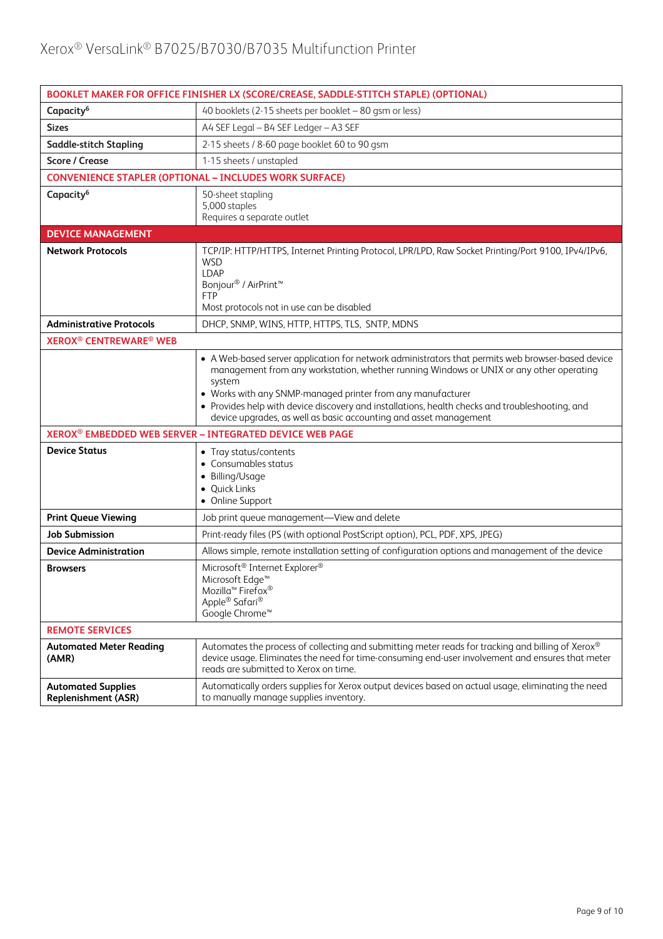| BOOKLET MAKER FOR OFFICE FINISHER LX (SCORE/CREASE, SADDLE-STITCH STAPLE) (OPTIONAL) |                                                                                                                                                                                                                                                                                                                                                                                                                                               |  |  |
|--------------------------------------------------------------------------------------|-----------------------------------------------------------------------------------------------------------------------------------------------------------------------------------------------------------------------------------------------------------------------------------------------------------------------------------------------------------------------------------------------------------------------------------------------|--|--|
| Capacity <sup>6</sup>                                                                | 40 booklets (2-15 sheets per booklet - 80 gsm or less)                                                                                                                                                                                                                                                                                                                                                                                        |  |  |
| <b>Sizes</b>                                                                         | A4 SEF Legal - B4 SEF Ledger - A3 SEF                                                                                                                                                                                                                                                                                                                                                                                                         |  |  |
| <b>Saddle-stitch Stapling</b>                                                        | 2-15 sheets / 8-60 page booklet 60 to 90 gsm                                                                                                                                                                                                                                                                                                                                                                                                  |  |  |
| <b>Score / Crease</b>                                                                | 1-15 sheets / unstapled                                                                                                                                                                                                                                                                                                                                                                                                                       |  |  |
|                                                                                      | <b>CONVENIENCE STAPLER (OPTIONAL - INCLUDES WORK SURFACE)</b>                                                                                                                                                                                                                                                                                                                                                                                 |  |  |
| Capacity <sup>6</sup>                                                                | 50-sheet stapling<br>5,000 staples<br>Requires a separate outlet                                                                                                                                                                                                                                                                                                                                                                              |  |  |
| <b>DEVICE MANAGEMENT</b>                                                             |                                                                                                                                                                                                                                                                                                                                                                                                                                               |  |  |
| <b>Network Protocols</b>                                                             | TCP/IP: HTTP/HTTPS, Internet Printing Protocol, LPR/LPD, Raw Socket Printing/Port 9100, IPv4/IPv6,<br><b>WSD</b><br>LDAP<br>Bonjour <sup>®</sup> / AirPrint <sup>™</sup><br><b>FTP</b><br>Most protocols not in use can be disabled                                                                                                                                                                                                           |  |  |
| <b>Administrative Protocols</b>                                                      | DHCP, SNMP, WINS, HTTP, HTTPS, TLS, SNTP, MDNS                                                                                                                                                                                                                                                                                                                                                                                                |  |  |
| <b>XEROX<sup>®</sup> CENTREWARE<sup>®</sup> WEB</b>                                  |                                                                                                                                                                                                                                                                                                                                                                                                                                               |  |  |
|                                                                                      | • A Web-based server application for network administrators that permits web browser-based device<br>management from any workstation, whether running Windows or UNIX or any other operating<br>system<br>• Works with any SNMP-managed printer from any manufacturer<br>• Provides help with device discovery and installations, health checks and troubleshooting, and<br>device upgrades, as well as basic accounting and asset management |  |  |
| XEROX <sup>®</sup> EMBEDDED WEB SERVER - INTEGRATED DEVICE WEB PAGE                  |                                                                                                                                                                                                                                                                                                                                                                                                                                               |  |  |
| <b>Device Status</b>                                                                 | • Tray status/contents<br>• Consumables status<br>• Billing/Usage<br>• Quick Links<br>• Online Support                                                                                                                                                                                                                                                                                                                                        |  |  |
| <b>Print Queue Viewing</b>                                                           | Job print queue management-View and delete                                                                                                                                                                                                                                                                                                                                                                                                    |  |  |
| Job Submission                                                                       | Print-ready files (PS (with optional PostScript option), PCL, PDF, XPS, JPEG)                                                                                                                                                                                                                                                                                                                                                                 |  |  |
| <b>Device Administration</b>                                                         | Allows simple, remote installation setting of configuration options and management of the device                                                                                                                                                                                                                                                                                                                                              |  |  |
| <b>Browsers</b>                                                                      | Microsoft <sup>®</sup> Internet Explorer <sup>®</sup><br>Microsoft Edge <sup>™</sup><br>Mozilla <sup>™</sup> Firefox <sup>®</sup><br>Apple® Safari®<br>Google Chrome <sup>™</sup>                                                                                                                                                                                                                                                             |  |  |
| <b>REMOTE SERVICES</b>                                                               |                                                                                                                                                                                                                                                                                                                                                                                                                                               |  |  |
| <b>Automated Meter Reading</b><br>(AMR)                                              | Automates the process of collecting and submitting meter reads for tracking and billing of Xerox®<br>device usage. Eliminates the need for time-consuming end-user involvement and ensures that meter<br>reads are submitted to Xerox on time.                                                                                                                                                                                                |  |  |
| <b>Automated Supplies</b><br><b>Replenishment (ASR)</b>                              | Automatically orders supplies for Xerox output devices based on actual usage, eliminating the need<br>to manually manage supplies inventory.                                                                                                                                                                                                                                                                                                  |  |  |